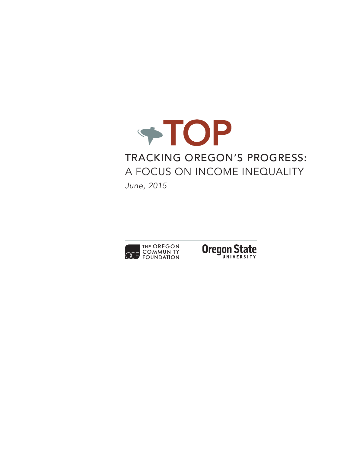

# Tracking Oregon's Progress: A Focus on Income Inequality

*June, 2015*



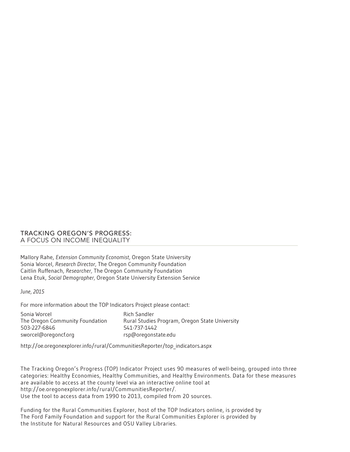#### Tracking Oregon's Progress: A Focus on Income Inequality

Mallory Rahe, *Extension Community Economist,* Oregon State University Sonia Worcel, *Research Director,* The Oregon Community Foundation Caitlin Ruffenach, *Researcher,* The Oregon Community Foundation Lena Etuk, *Social Demographer,* Oregon State University Extension Service

*June, 2015*

For more information about the TOP Indicators Project please contact:

| Sonia Worcel                    | Rich Sandler                                   |
|---------------------------------|------------------------------------------------|
| The Oregon Community Foundation | Rural Studies Program, Oregon State University |
| 503-227-6846                    | 541-737-1442                                   |
| sworcel@oregoncf.org            | rsp@oregonstate.edu                            |

http://oe.oregonexplorer.info/rural/CommunitiesReporter/top\_indicators.aspx

The Tracking Oregon's Progress (TOP) Indicator Project uses 90 measures of well-being, grouped into three categories: Healthy Economies, Healthy Communities, and Healthy Environments. Data for these measures are available to access at the county level via an interactive online tool at http://oe.oregonexplorer.info/rural/CommunitiesReporter/. Use the tool to access data from 1990 to 2013, compiled from 20 sources.

Funding for the Rural Communities Explorer, host of the TOP Indicators online, is provided by The Ford Family Foundation and support for the Rural Communities Explorer is provided by the Institute for Natural Resources and OSU Valley Libraries.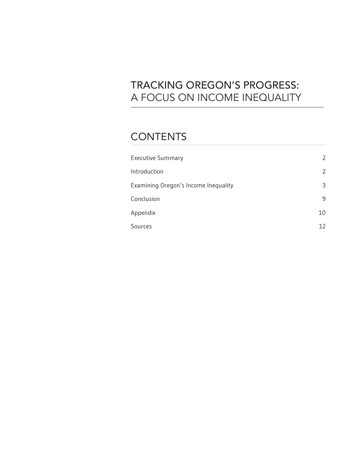# Tracking Oregon's Progress: A Focus on Income Inequality

## **CONTENTS**

| <b>Executive Summary</b>             |    |
|--------------------------------------|----|
| Introduction                         |    |
| Examining Oregon's Income Inequality | 3  |
| Conclusion                           | 9  |
| Appendix                             | 10 |
| Sources                              | 17 |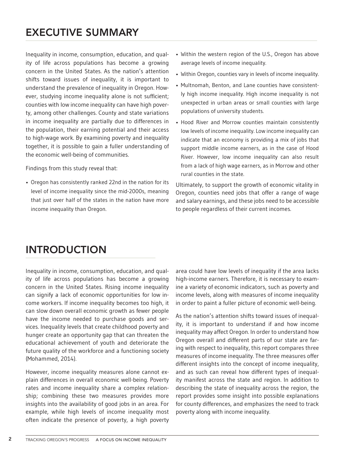## Executive summary

Inequality in income, consumption, education, and quality of life across populations has become a growing concern in the United States. As the nation's attention shifts toward issues of inequality, it is important to understand the prevalence of inequality in Oregon. However, studying income inequality alone is not sufficient; counties with low income inequality can have high poverty, among other challenges. County and state variations in income inequality are partially due to differences in the population, their earning potential and their access to high-wage work. By examining poverty and inequality together, it is possible to gain a fuller understanding of the economic well-being of communities.

Findings from this study reveal that:

• Oregon has consistently ranked 22nd in the nation for its level of income inequality since the mid-2000s, meaning that just over half of the states in the nation have more income inequality than Oregon.

- Within the western region of the U.S., Oregon has above average levels of income inequality.
- Within Oregon, counties vary in levels of income inequality.
- Multnomah, Benton, and Lane counties have consistently high income inequality. High income inequality is not unexpected in urban areas or small counties with large populations of university students.
- Hood River and Morrow counties maintain consistently low levels of income inequality. Low income inequality can indicate that an economy is providing a mix of jobs that support middle income earners, as in the case of Hood River. However, low income inequality can also result from a lack of high wage earners, as in Morrow and other rural counties in the state.

Ultimately, to support the growth of economic vitality in Oregon, counties need jobs that offer a range of wage and salary earnings, and these jobs need to be accessible to people regardless of their current incomes.

# INTRODUCTION

Inequality in income, consumption, education, and quality of life across populations has become a growing concern in the United States. Rising income inequality can signify a lack of economic opportunities for low income workers. If income inequality becomes too high, it can slow down overall economic growth as fewer people have the income needed to purchase goods and services. Inequality levels that create childhood poverty and hunger create an opportunity gap that can threaten the educational achievement of youth and deteriorate the future quality of the workforce and a functioning society (Mohammed, 2014).

However, income inequality measures alone cannot explain differences in overall economic well-being. Poverty rates and income inequality share a complex relationship; combining these two measures provides more insights into the availability of good jobs in an area. For example, while high levels of income inequality most often indicate the presence of poverty, a high poverty

area could have low levels of inequality if the area lacks high-income earners. Therefore, it is necessary to examine a variety of economic indicators, such as poverty and income levels, along with measures of income inequality in order to paint a fuller picture of economic well-being.

As the nation's attention shifts toward issues of inequality, it is important to understand if and how income inequality may affect Oregon. In order to understand how Oregon overall and different parts of our state are faring with respect to inequality, this report compares three measures of income inequality. The three measures offer different insights into the concept of income inequality, and as such can reveal how different types of inequality manifest across the state and region. In addition to describing the state of inequality across the region, the report provides some insight into possible explanations for county differences, and emphasizes the need to track poverty along with income inequality.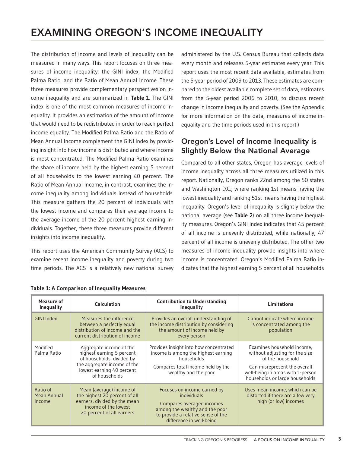## Examining Oregon's income inequality

The distribution of income and levels of inequality can be measured in many ways. This report focuses on three measures of income inequality: the GINI index, the Modified Palma Ratio, and the Ratio of Mean Annual Income. These three measures provide complementary perspectives on income inequality and are summarized in **Table 1**. The GINI index is one of the most common measures of income inequality. It provides an estimation of the amount of income that would need to be redistributed in order to reach perfect income equality. The Modified Palma Ratio and the Ratio of Mean Annual Income complement the GINI Index by providing insight into how income is distributed and where income is most concentrated. The Modified Palma Ratio examines the share of income held by the highest earning 5 percent of all households to the lowest earning 40 percent. The Ratio of Mean Annual Income, in contrast, examines the income inequality among individuals instead of households. This measure gathers the 20 percent of individuals with the lowest income and compares their average income to the average income of the 20 percent highest earning individuals. Together, these three measures provide different insights into income inequality.

This report uses the American Community Survey (ACS) to examine recent income inequality and poverty during two time periods. The ACS is a relatively new national survey

administered by the U.S. Census Bureau that collects data every month and releases 5-year estimates every year. This report uses the most recent data available, estimates from the 5-year period of 2009 to 2013. These estimates are compared to the oldest available complete set of data, estimates from the 5-year period 2006 to 2010, to discuss recent change in income inequality and poverty. (See the Appendix for more information on the data, measures of income inequality and the time periods used in this report.)

### Oregon's Level of Income Inequality is Slightly Below the National Average

Compared to all other states, Oregon has average levels of income inequality across all three measures utilized in this report. Nationally, Oregon ranks 22nd among the 50 states and Washington D.C., where ranking 1st means having the lowest inequality and ranking 51st means having the highest inequality. Oregon's level of inequality is slightly below the national average (see **Table 2**) on all three income inequality measures. Oregon's GINI Index indicates that 45 percent of all income is unevenly distributed, while nationally, 47 percent of all income is unevenly distributed. The other two measures of income inequality provide insights into where income is concentrated. Oregon's Modified Palma Ratio indicates that the highest earning 5 percent of all households

| Measure of<br><b>Inequality</b>   | Calculation                                                                                                                                                    | <b>Contribution to Understanding</b><br><b>Inequality</b>                                                                                                                   | Limitations                                                                                                                                                                             |  |
|-----------------------------------|----------------------------------------------------------------------------------------------------------------------------------------------------------------|-----------------------------------------------------------------------------------------------------------------------------------------------------------------------------|-----------------------------------------------------------------------------------------------------------------------------------------------------------------------------------------|--|
| <b>GINI Index</b>                 | Measures the difference<br>between a perfectly equal<br>distribution of income and the<br>current distribution of income                                       | Provides an overall understanding of<br>the income distribution by considering<br>the amount of income held by<br>every person                                              | Cannot indicate where income<br>is concentrated among the<br>population                                                                                                                 |  |
| Modified<br>Palma Ratio           | Aggregate income of the<br>highest earning 5 percent<br>of households, divided by<br>the aggregate income of the<br>lowest earning 40 percent<br>of households | Provides insight into how concentrated<br>income is among the highest earning<br>households<br>Compares total income held by the<br>wealthy and the poor                    | Examines household income,<br>without adjusting for the size<br>of the household<br>Can misrepresent the overall<br>well-being in areas with 1-person<br>households or large households |  |
| Ratio of<br>Mean Annual<br>Income | Mean (average) income of<br>the highest 20 percent of all<br>earners, divided by the mean<br>income of the lowest<br>20 percent of all earners                 | Focuses on income earned by<br>individuals<br>Compares averaged incomes<br>among the wealthy and the poor<br>to provide a relative sense of the<br>difference in well-being | Uses mean income, which can be<br>distorted if there are a few very<br>high (or low) incomes                                                                                            |  |

#### **Table 1: A Comparison of Inequality Measures**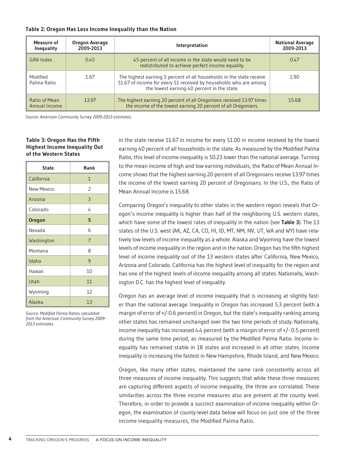| Measure of<br><b>Inequality</b> | Oregon Average<br>2009-2013 | Interpretation                                                                                                                                                                             | <b>National Average</b><br>2009-2013 |
|---------------------------------|-----------------------------|--------------------------------------------------------------------------------------------------------------------------------------------------------------------------------------------|--------------------------------------|
| <b>GINI Index</b>               | 0.45                        | 45 percent of all income in the state would need to be<br>redistributed to achieve perfect income equality.                                                                                | 0.47                                 |
| Modified<br>Palma Ratio         | 1.67                        | The highest earning 5 percent of all households in the state receive<br>\$1.67 of income for every \$1 received by households who are among<br>the lowest earning 40 percent in the state. | 1.90                                 |
| Ratio of Mean<br>Annual Income  | 13.97                       | The highest earning 20 percent of all Oregonians received 13.97 times<br>the income of the lowest earning 20 percent of all Oregonians.                                                    | 15.68                                |

#### **Table 2: Oregon Has Less Income Inequality than the Nation**

*Source: American Community Survey 2009-2013 estimates.* 

#### **Table 3: Oregon Has the Fifth Highest Income Inequality Out of the Western States**

| <b>State</b>      | Rank         |
|-------------------|--------------|
| California        | $\mathbf{1}$ |
| <b>New Mexico</b> | 2            |
| Arizona           | 3            |
| Colorado          | 4            |
| <b>Oregon</b>     | 5            |
| Nevada            | 6            |
| Washington        | 7            |
| Montana           | 8            |
| Idaho             | 9            |
| Hawaii            | 10           |
| Utah              | 11           |
| Wyoming           | 12           |
| Alaska            | 13           |

*Source: Modified Palma Ratios calculated from the American Community Survey 2009- 2013 estimates.* 

in the state receive \$1.67 in income for every \$1.00 in income received by the lowest earning 40 percent of all households in the state. As measured by the Modified Palma Ratio, this level of income inequality is \$0.23 lower than the national average. Turning to the mean income of high and low earning individuals, the Ratio of Mean Annual Income shows that the highest earning 20 percent of all Oregonians receive 13.97 times the income of the lowest earning 20 percent of Oregonians. In the U.S., the Ratio of Mean Annual Income is 15.68.

Comparing Oregon's inequality to other states in the western region reveals that Oregon's income inequality is higher than half of the neighboring U.S. western states, which have some of the lowest rates of inequality in the nation (see **Table 3**). The 13 states of the U.S. west (AK, AZ, CA, CO, HI, ID, MT, NM, NV, UT, WA and WY) have relatively low levels of income inequality as a whole. Alaska and Wyoming have the lowest levels of income inequality in the region and in the nation. Oregon has the fifth highest level of income inequality out of the 13 western states after California, New Mexico, Arizona and Colorado. California has the highest level of inequality for the region and has one of the highest levels of income inequality among all states. Nationally, Washington D.C. has the highest level of inequality.

Oregon has an average level of income inequality that is increasing at slightly faster than the national average. Inequality in Oregon has increased 5.3 percent (with a margin of error of  $+/-0.6$  percent) in Oregon, but the state's inequality ranking among other states has remained unchanged over the two time periods of study. Nationally, income inequality has increased 4.4 percent (with a margin of error of  $+/-0.5$  percent) during the same time period, as measured by the Modified Palma Ratio. Income inequality has remained stable in 18 states and increased in all other states. Income inequality is increasing the fastest in New Hampshire, Rhode Island, and New Mexico.

Oregon, like many other states, maintained the same rank consistently across all three measures of income inequality. This suggests that while these three measures are capturing different aspects of income inequality, the three are correlated. These similarities across the three income measures also are present at the county level. Therefore, in order to provide a succinct examination of income inequality within Oregon, the examination of county-level data below will focus on just one of the three income inequality measures, the Modified Palma Ratio.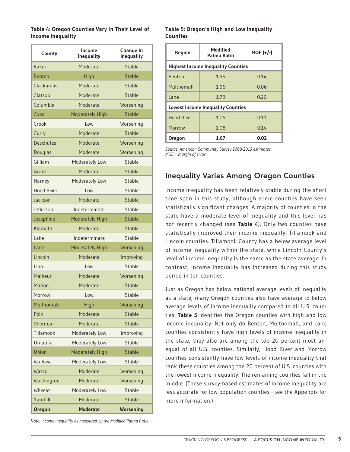#### **Table 4: Oregon Counties Vary in Their Level of Income Inequality**

| County            | Income<br><b>Inequality</b> | <b>Change In</b><br><b>Inequality</b> |
|-------------------|-----------------------------|---------------------------------------|
| <b>Baker</b>      | Moderate                    | Stable                                |
| <b>Benton</b>     | High                        | Stable                                |
| Clackamas         | Moderate                    | Stable                                |
| Clatsop           | Moderate                    | Stable                                |
| Columbia          | Moderate                    | Worsening                             |
| Coos              | <b>Moderately High</b>      | <b>Stable</b>                         |
| Crook             | Low                         | Worsening                             |
| Curry             | Moderate                    | <b>Stable</b>                         |
| <b>Deschutes</b>  | Moderate                    | Worsening                             |
| Douglas           | Moderate                    | Worsening                             |
| Gilliam           | Moderately Low              | Stable                                |
| Grant             | Moderate                    | Stable                                |
| Harney            | Moderately Low              | Stable                                |
| <b>Hood River</b> | Low                         | Stable                                |
| Jackson           | Moderate                    | <b>Stable</b>                         |
| <b>Jefferson</b>  | Indeterminate               | Stable                                |
| Josephine         | <b>Moderately High</b>      | <b>Stable</b>                         |
| Klamath           | Moderate                    | <b>Stable</b>                         |
| Lake              | Indeterminate               | Stable                                |
| Lane              | Moderately High             | Worsening                             |
| Lincoln           | Moderate                    | Improving                             |
| Linn              | Low                         | Stable                                |
| Malheur           | Moderate                    | Worsening                             |
| Marion            | Moderate                    | <b>Stable</b>                         |
| Morrow            | Low                         | Stable                                |
| Multnomah         | High                        | Worsening                             |
| Polk              | Moderate                    | <b>Stable</b>                         |
| Sherman           | Moderate                    | <b>Stable</b>                         |
| Tillamook         | Moderately Low              | Improving                             |
| Umatilla          | Moderately Low              | <b>Stable</b>                         |
| Union             | Moderately High             | <b>Stable</b>                         |
| Wallowa           | Moderately Low              | Stable                                |
| Wasco             | Moderate                    | Worsening                             |
| Washington        | Moderate                    | Worsening                             |
| Wheeler           | Moderately Low              | <b>Stable</b>                         |
| Yamhill           | Moderate                    | <b>Stable</b>                         |
| <b>Oregon</b>     | <b>Moderate</b>             | <b>Worsening</b>                      |

*Note: Income inequality as measured by the Modified Palma Ratio.*

#### **Table 5: Oregon's High and Low Inequality Counties**

| <b>Region</b>                            | <b>Modified</b><br>$MOE (+/-)$<br>Palma Ratio |      |  |  |  |
|------------------------------------------|-----------------------------------------------|------|--|--|--|
|                                          | <b>Highest Income Inequality Counties</b>     |      |  |  |  |
| <b>Benton</b>                            | 1.95                                          | 0.14 |  |  |  |
| Multnomah                                | 1.96                                          | 0.06 |  |  |  |
| l ane                                    | 1.79                                          | 0.20 |  |  |  |
| <b>Lowest Income Inequality Counties</b> |                                               |      |  |  |  |
| <b>Hood River</b>                        | 1.05                                          | 0.11 |  |  |  |
| Morrow                                   | 1.08<br>0.14                                  |      |  |  |  |
| <b>Oregon</b>                            | 0.02<br>1.67                                  |      |  |  |  |

*Source: American Community Survey 2009-2013 estimates. MOE = margin of error*

## Inequality Varies Among Oregon Counties

Income inequality has been relatively stable during the short time span in this study, although some counties have seen statistically significant changes. A majority of counties in the state have a moderate level of inequality and this level has not recently changed (see **Table 4**). Only two counties have statistically improved their income inequality: Tillamook and Lincoln counties. Tillamook County has a below average level of income inequality within the state, while Lincoln County's level of income inequality is the same as the state average. In contrast, income inequality has increased during this study period in ten counties.

Just as Oregon has below national average levels of inequality as a state, many Oregon counties also have average to below average levels of income inequality compared to all U.S. counties. **Table 5** identifies the Oregon counties with high and low income inequality. Not only do Benton, Multnomah, and Lane counties consistently have high levels of income inequality in the state, they also are among the top 20 percent most unequal of all U.S. counties. Similarly, Hood River and Morrow counties consistently have low levels of income inequality that rank these counties among the 20 percent of U.S. counties with the lowest income inequality. The remaining counties fall in the middle. (These survey-based estimates of income inequality are less accurate for low population counties—see the Appendix for more information.)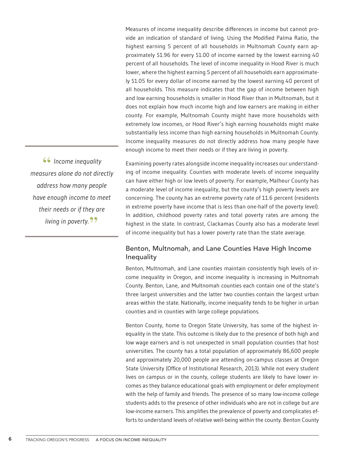Measures of income inequality describe differences in income but cannot provide an indication of standard of living. Using the Modified Palma Ratio, the highest earning 5 percent of all households in Multnomah County earn approximately \$1.96 for every \$1.00 of income earned by the lowest earning 40 percent of all households. The level of income inequality in Hood River is much lower, where the highest earning 5 percent of all households earn approximately \$1.05 for every dollar of income earned by the lowest earning 40 percent of all households. This measure indicates that the gap of income between high and low earning households is smaller in Hood River than in Multnomah, but it does not explain how much income high and low earners are making in either county. For example, Multnomah County might have more households with extremely low incomes, or Hood River's high earning households might make substantially less income than high earning households in Multnomah County. Income inequality measures do not directly address how many people have enough income to meet their needs or if they are living in poverty.

**"***Income inequality measures alone do not directly address how many people have enough income to meet their needs or if they are living in poverty.***"**

Examining poverty rates alongside income inequality increases our understanding of income inequality. Counties with moderate levels of income inequality can have either high or low levels of poverty. For example, Malheur County has a moderate level of income inequality, but the county's high poverty levels are concerning. The county has an extreme poverty rate of 11.6 percent (residents in extreme poverty have income that is less than one-half of the poverty level). In addition, childhood poverty rates and total poverty rates are among the highest in the state. In contrast, Clackamas County also has a moderate level of income inequality but has a lower poverty rate than the state average.

### Benton, Multnomah, and Lane Counties Have High Income Inequality

Benton, Multnomah, and Lane counties maintain consistently high levels of income inequality in Oregon, and income inequality is increasing in Multnomah County. Benton, Lane, and Multnomah counties each contain one of the state's three largest universities and the latter two counties contain the largest urban areas within the state. Nationally, income inequality tends to be higher in urban counties and in counties with large college populations.

Benton County, home to Oregon State University, has some of the highest inequality in the state. This outcome is likely due to the presence of both high and low wage earners and is not unexpected in small population counties that host universities. The county has a total population of approximately 86,600 people and approximately 20,000 people are attending on-campus classes at Oregon State University (Office of Institutional Research, 2013). While not every student lives on campus or in the county, college students are likely to have lower incomes as they balance educational goals with employment or defer employment with the help of family and friends. The presence of so many low-income college students adds to the presence of other individuals who are not in college but are low-income earners. This amplifies the prevalence of poverty and complicates efforts to understand levels of relative well-being within the county. Benton County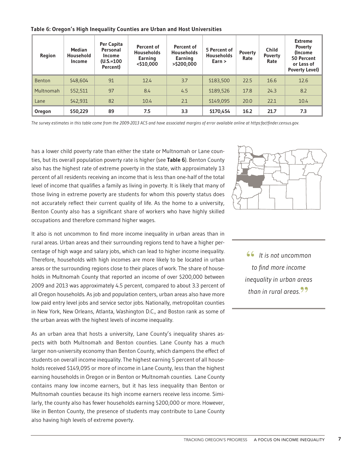**Table 6: Oregon's High Inequality Counties are Urban and Host Universities**

| Region        | <b>Median</b><br>Household<br>Income | Per Capita<br><b>Personal</b><br><b>Income</b><br>$(U.S.=100$<br>Percent) | Percent of<br><b>Households</b><br>Earning<br><\$10,000 | Percent of<br><b>Households</b><br>Earning<br>>\$200,000 | 5 Percent of<br><b>Households</b><br>Earn > | <b>Poverty</b><br>Rate | <b>Child</b><br><b>Poverty</b><br>Rate | <b>Extreme</b><br><b>Poverty</b><br>(Income<br>50 Percent<br>or Less of<br><b>Poverty Level)</b> |
|---------------|--------------------------------------|---------------------------------------------------------------------------|---------------------------------------------------------|----------------------------------------------------------|---------------------------------------------|------------------------|----------------------------------------|--------------------------------------------------------------------------------------------------|
| <b>Benton</b> | \$48,604                             | 91                                                                        | 12.4                                                    | 3.7                                                      | \$183,500                                   | 22.5                   | 16.6                                   | 12.6                                                                                             |
| Multnomah     | \$52,511                             | 97                                                                        | 8.4                                                     | 4.5                                                      | \$189,526                                   | 17.8                   | 24.3                                   | 8.2                                                                                              |
| Lane          | \$42,931                             | 82                                                                        | 10.4                                                    | 2.1                                                      | \$149,095                                   | 20.0                   | 22.1                                   | 10.4                                                                                             |
| Oregon        | \$50,229                             | 89                                                                        | 7.5                                                     | 3.3                                                      | \$170,454                                   | 16.2                   | 21.7                                   | 7.3                                                                                              |

*The survey estimates in this table come from the 2009-2013 ACS and have associated margins of error available online at https:factfinder.census.gov.*

has a lower child poverty rate than either the state or Multnomah or Lane counties, but its overall population poverty rate is higher (see **Table 6**). Benton County also has the highest rate of extreme poverty in the state, with approximately 13 percent of all residents receiving an income that is less than one-half of the total level of income that qualifies a family as living in poverty. It is likely that many of those living in extreme poverty are students for whom this poverty status does not accurately reflect their current quality of life. As the home to a university, Benton County also has a significant share of workers who have highly skilled occupations and therefore command higher wages.

It also is not uncommon to find more income inequality in urban areas than in rural areas. Urban areas and their surrounding regions tend to have a higher percentage of high wage and salary jobs, which can lead to higher income inequality. Therefore, households with high incomes are more likely to be located in urban areas or the surrounding regions close to their places of work. The share of households in Multnomah County that reported an income of over \$200,000 between 2009 and 2013 was approximately 4.5 percent, compared to about 3.3 percent of all Oregon households. As job and population centers, urban areas also have more low paid entry level jobs and service sector jobs. Nationally, metropolitan counties in New York, New Orleans, Atlanta, Washington D.C., and Boston rank as some of the urban areas with the highest levels of income inequality.

As an urban area that hosts a university, Lane County's inequality shares aspects with both Multnomah and Benton counties. Lane County has a much larger non-university economy than Benton County, which dampens the effect of students on overall income inequality. The highest earning 5 percent of all households received \$149,095 or more of income in Lane County, less than the highest earning households in Oregon or in Benton or Multnomah counties. Lane County contains many low income earners, but it has less inequality than Benton or Multnomah counties because its high income earners receive less income. Similarly, the county also has fewer households earning \$200,000 or more. However, like in Benton County, the presence of students may contribute to Lane County also having high levels of extreme poverty.



**"** *It is not uncommon to find more income inequality in urban areas than in rural areas.* **"**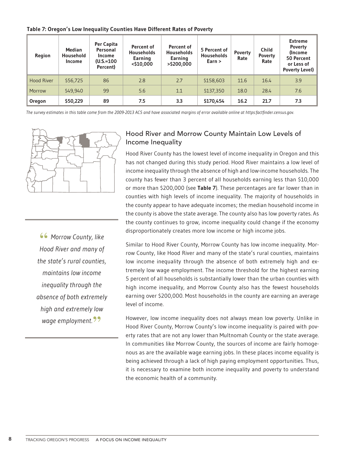**Table 7: Oregon's Low Inequality Counties Have Different Rates of Poverty**

| <b>Region</b>     | <b>Median</b><br><b>Household</b><br><b>Income</b> | Per Capita<br>Personal<br>Income<br>$(U.S.=100$<br>Percent) | Percent of<br><b>Households</b><br><b>Earning</b><br>$<$ \$10,000 | Percent of<br><b>Households</b><br>Earning<br>>\$200,000 | 5 Percent of<br><b>Households</b><br>Earn $>$ | <b>Poverty</b><br>Rate | <b>Child</b><br><b>Poverty</b><br>Rate | <b>Extreme</b><br><b>Poverty</b><br>(Income<br>50 Percent<br>or Less of<br><b>Poverty Level)</b> |
|-------------------|----------------------------------------------------|-------------------------------------------------------------|-------------------------------------------------------------------|----------------------------------------------------------|-----------------------------------------------|------------------------|----------------------------------------|--------------------------------------------------------------------------------------------------|
| <b>Hood River</b> | \$56,725                                           | 86                                                          | 2.8                                                               | 2.7                                                      | \$158,603                                     | 11.6                   | 16.4                                   | 3.9                                                                                              |
| Morrow            | \$49,940                                           | 99                                                          | 5.6                                                               | 1.1                                                      | \$137,350                                     | 18.0                   | 28.4                                   | 7.6                                                                                              |
| Oregon            | \$50,229                                           | 89                                                          | 7.5                                                               | 3.3                                                      | \$170,454                                     | 16.2                   | 21.7                                   | 7.3                                                                                              |

*The survey estimates in this table come from the 2009-2013 ACS and have associated margins of error available online at https:factfinder.census.gov.*



**"** *Morrow County, like Hood River and many of the state's rural counties, maintains low income inequality through the absence of both extremely high and extremely low wage employment.***"**

### Hood River and Morrow County Maintain Low Levels of Income Inequality

Hood River County has the lowest level of income inequality in Oregon and this has not changed during this study period. Hood River maintains a low level of income inequality through the absence of high and low-income households. The county has fewer than 3 percent of all households earning less than \$10,000 or more than \$200,000 (see **Table 7**). These percentages are far lower than in counties with high levels of income inequality. The majority of households in the county appear to have adequate incomes; the median household income in the county is above the state average. The county also has low poverty rates. As the county continues to grow, income inequality could change if the economy disproportionately creates more low income or high income jobs.

Similar to Hood River County, Morrow County has low income inequality. Morrow County, like Hood River and many of the state's rural counties, maintains low income inequality through the absence of both extremely high and extremely low wage employment. The income threshold for the highest earning 5 percent of all households is substantially lower than the urban counties with high income inequality, and Morrow County also has the fewest households earning over \$200,000. Most households in the county are earning an average level of income.

However, low income inequality does not always mean low poverty. Unlike in Hood River County, Morrow County's low income inequality is paired with poverty rates that are not any lower than Multnomah County or the state average. In communities like Morrow County, the sources of income are fairly homogenous as are the available wage earning jobs. In these places income equality is being achieved through a lack of high paying employment opportunities. Thus, it is necessary to examine both income inequality and poverty to understand the economic health of a community.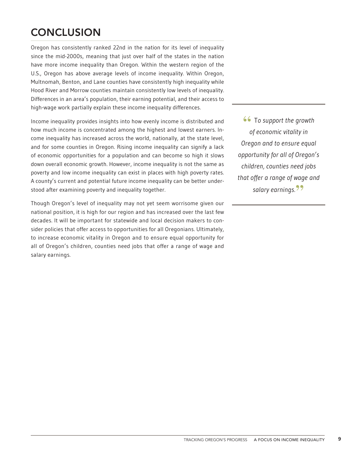# **CONCLUSION**

Oregon has consistently ranked 22nd in the nation for its level of inequality since the mid-2000s, meaning that just over half of the states in the nation have more income inequality than Oregon. Within the western region of the U.S., Oregon has above average levels of income inequality. Within Oregon, Multnomah, Benton, and Lane counties have consistently high inequality while Hood River and Morrow counties maintain consistently low levels of inequality. Differences in an area's population, their earning potential, and their access to high-wage work partially explain these income inequality differences.

Income inequality provides insights into how evenly income is distributed and how much income is concentrated among the highest and lowest earners. Income inequality has increased across the world, nationally, at the state level, and for some counties in Oregon. Rising income inequality can signify a lack of economic opportunities for a population and can become so high it slows down overall economic growth. However, income inequality is not the same as poverty and low income inequality can exist in places with high poverty rates. A county's current and potential future income inequality can be better understood after examining poverty and inequality together.

Though Oregon's level of inequality may not yet seem worrisome given our national position, it is high for our region and has increased over the last few decades. It will be important for statewide and local decision makers to consider policies that offer access to opportunities for all Oregonians. Ultimately, to increase economic vitality in Oregon and to ensure equal opportunity for all of Oregon's children, counties need jobs that offer a range of wage and salary earnings.

**"** <sup>T</sup>*o support the growth of economic vitality in Oregon and to ensure equal opportunity for all of Oregon's children, counties need jobs that offer a range of wage and salary earnings.***"**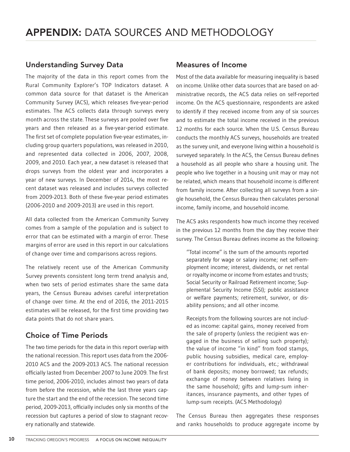### Understanding Survey Data

The majority of the data in this report comes from the Rural Community Explorer's TOP Indicators dataset. A common data source for that dataset is the American Community Survey (ACS), which releases five-year-period estimates. The ACS collects data through surveys every month across the state. These surveys are pooled over five years and then released as a five-year-period estimate. The first set of complete population five-year estimates, including group quarters populations, was released in 2010, and represented data collected in 2006, 2007, 2008, 2009, and 2010. Each year, a new dataset is released that drops surveys from the oldest year and incorporates a year of new surveys. In December of 2014, the most recent dataset was released and includes surveys collected from 2009-2013. Both of these five-year period estimates (2006-2010 and 2009-2013) are used in this report.

All data collected from the American Community Survey comes from a sample of the population and is subject to error that can be estimated with a margin of error. These margins of error are used in this report in our calculations of change over time and comparisons across regions.

The relatively recent use of the American Community Survey prevents consistent long term trend analysis and, when two sets of period estimates share the same data years, the Census Bureau advises careful interpretation of change over time. At the end of 2016, the 2011-2015 estimates will be released, for the first time providing two data points that do not share years.

### Choice of Time Periods

The two time periods for the data in this report overlap with the national recession. This report uses data from the 2006- 2010 ACS and the 2009-2013 ACS. The national recession officially lasted from December 2007 to June 2009. The first time period, 2006-2010, includes almost two years of data from before the recession, while the last three years capture the start and the end of the recession. The second time period, 2009-2013, officially includes only six months of the recession but captures a period of slow to stagnant recovery nationally and statewide.

### Measures of Income

Most of the data available for measuring inequality is based on income. Unlike other data sources that are based on administrative records, the ACS data relies on self-reported income. On the ACS questionnaire, respondents are asked to identify if they received income from any of six sources and to estimate the total income received in the previous 12 months for each source. When the U.S. Census Bureau conducts the monthly ACS surveys, households are treated as the survey unit, and everyone living within a household is surveyed separately. In the ACS, the Census Bureau defines a household as all people who share a housing unit. The people who live together in a housing unit may or may not be related, which means that household income is different from family income. After collecting all surveys from a single household, the Census Bureau then calculates personal income, family income, and household income.

The ACS asks respondents how much income they received in the previous 12 months from the day they receive their survey. The Census Bureau defines income as the following:

"Total income" is the sum of the amounts reported separately for wage or salary income; net self-employment income; interest, dividends, or net rental or royalty income or income from estates and trusts; Social Security or Railroad Retirement income; Supplemental Security Income (SSI); public assistance or welfare payments; retirement, survivor, or disability pensions; and all other income.

Receipts from the following sources are not included as income: capital gains, money received from the sale of property (unless the recipient was engaged in the business of selling such property); the value of income "in kind" from food stamps, public housing subsidies, medical care, employer contributions for individuals, etc.; withdrawal of bank deposits; money borrowed; tax refunds; exchange of money between relatives living in the same household; gifts and lump-sum inheritances, insurance payments, and other types of lump-sum receipts. (ACS Methodology)

The Census Bureau then aggregates these responses and ranks households to produce aggregate income by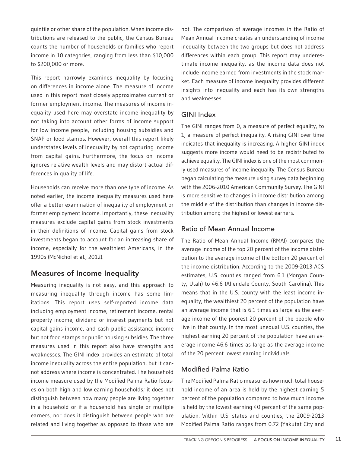quintile or other share of the population. When income distributions are released to the public, the Census Bureau counts the number of households or families who report income in 10 categories, ranging from less than \$10,000 to \$200,000 or more.

This report narrowly examines inequality by focusing on differences in income alone. The measure of income used in this report most closely approximates current or former employment income. The measures of income inequality used here may overstate income inequality by not taking into account other forms of income support for low income people, including housing subsidies and SNAP or food stamps. However, overall this report likely understates levels of inequality by not capturing income from capital gains. Furthermore, the focus on income ignores relative wealth levels and may distort actual differences in quality of life.

Households can receive more than one type of income. As noted earlier, the income inequality measures used here offer a better examination of inequality of employment or former employment income. Importantly, these inequality measures exclude capital gains from stock investments in their definitions of income. Capital gains from stock investments began to account for an increasing share of income, especially for the wealthiest Americans, in the 1990s (McNichol et al., 2012).

### Measures of Income Inequality

Measuring inequality is not easy, and this approach to measuring inequality through income has some limitations. This report uses self-reported income data including employment income, retirement income, rental property income, dividend or interest payments but not capital gains income, and cash public assistance income but not food stamps or public housing subsidies. The three measures used in this report also have strengths and weaknesses. The GINI index provides an estimate of total income inequality across the entire population, but it cannot address where income is concentrated. The household income measure used by the Modified Palma Ratio focuses on both high and low earning households; it does not distinguish between how many people are living together in a household or if a household has single or multiple earners, nor does it distinguish between people who are related and living together as opposed to those who are

not. The comparison of average incomes in the Ratio of Mean Annual Income creates an understanding of income inequality between the two groups but does not address differences within each group. This report may underestimate income inequality, as the income data does not include income earned from investments in the stock market. Each measure of income inequality provides different insights into inequality and each has its own strengths and weaknesses.

### GINI Index

The GINI ranges from 0, a measure of perfect equality, to 1, a measure of perfect inequality. A rising GINI over time indicates that inequality is increasing. A higher GINI index suggests more income would need to be redistributed to achieve equality. The GINI index is one of the most commonly used measures of income inequality. The Census Bureau began calculating the measure using survey data beginning with the 2006-2010 American Community Survey. The GINI is more sensitive to changes in income distribution among the middle of the distribution than changes in income distribution among the highest or lowest earners.

### Ratio of Mean Annual Income

The Ratio of Mean Annual Income (RMAI) compares the average income of the top 20 percent of the income distribution to the average income of the bottom 20 percent of the income distribution. According to the 2009-2013 ACS estimates, U.S. counties ranged from 6.1 (Morgan County, Utah) to 46.6 (Allendale County, South Carolina). This means that in the U.S. county with the least income inequality, the wealthiest 20 percent of the population have an average income that is 6.1 times as large as the average income of the poorest 20 percent of the people who live in that county. In the most unequal U.S. counties, the highest earning 20 percent of the population have an average income 46.6 times as large as the average income of the 20 percent lowest earning individuals.

### Modified Palma Ratio

The Modified Palma Ratio measures how much total household income of an area is held by the highest earning 5 percent of the population compared to how much income is held by the lowest earning 40 percent of the same population. Within U.S. states and counties, the 2009-2013 Modified Palma Ratio ranges from 0.72 (Yakutat City and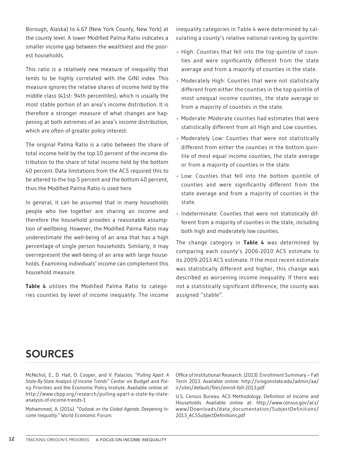Borough, Alaska) to 4.67 (New York County, New York) at the county level. A lower Modified Palma Ratio indicates a smaller income gap between the wealthiest and the poorest households.

This ratio is a relatively new measure of inequality that tends to be highly correlated with the GINI index. This measure ignores the relative shares of income held by the middle class (41st- 94th percentiles), which is usually the most stable portion of an area's income distribution. It is therefore a stronger measure of what changes are happening at both extremes of an area's income distribution, which are often of greater policy interest.

The original Palma Ratio is a ratio between the share of total income held by the top 10 percent of the income distribution to the share of total income held by the bottom 40 percent. Data limitations from the ACS required this to be altered to the top 5 percent and the bottom 40 percent, thus the Modified Palma Ratio is used here.

In general, it can be assumed that in many households people who live together are sharing an income and therefore the household provides a reasonable assumption of wellbeing. However, the Modified Palma Ratio may underestimate the well-being of an area that has a high percentage of single person households. Similarly, it may overrepresent the well-being of an area with large households. Examining individuals' income can complement this household measure.

**Table 4** utilizes the Modified Palma Ratio to categories counties by level of income inequality. The income inequality categories in Table 4 were determined by calculating a county's relative national ranking by quintile:

- High: Counties that fell into the top quintile of counties and were significantly different from the state average and from a majority of counties in the state.
- Moderately High: Counties that were not statistically different from either the counties in the top quintile of most unequal income counties, the state average or from a majority of counties in the state.
- Moderate: Moderate counties had estimates that were statistically different from all High and Low counties.
- Moderately Low: Counties that were not statistically different from either the counties in the bottom quintile of most equal income counties, the state average or from a majority of counties in the state.
- Low: Counties that fell into the bottom quintile of counties and were significantly different from the state average and from a majority of counties in the state.
- Indeterminate: Counties that were not statistically different from a majority of counties in the state, including both high and moderately low counties.

The change category in **Table 4** was determined by comparing each county's 2006-2010 ACS estimate to its 2009-2013 ACS estimate. If the most recent estimate was statistically different and higher, this change was described as worsening income inequality. If there was not a statistically significant difference, the county was assigned "stable".

## **SOURCES**

McNichol, E., D. Hall, D. Cooper, and V. Palacios. *"Pulling Apart: A State-By-State Analysis of Income Trends"* Center on Budget and Policy Priorities and the Economic Policy Insitute. Available online at: http://www.cbpp.org/research/pulling-apart-a-state-by-stateanalysis-of-income-trends-1

Mohammed, A. (2014). *"Outlook on the Global Agenda: Deepening Income Inequality."* World Economic Forum.

Office of Institutional Research. (2013). Enrollment Summary – Fall Term 2013. Available online: http://oregonstate.edu/admin/aa/ ir/sites/default/files/enroll-fall-2013.pdf

U.S. Census Bureau. ACS Methodology. Definition of Income and Households. Available online at: http://www.census.gov/acs/ www/Downloads/data\_documentation/SubjectDefinitions/ 2013\_ACSSubjectDefinitions.pdf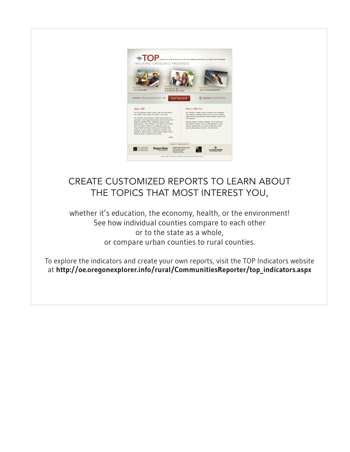

## Create customized reports to learn about the topics that most interest you,

whether it's education, the economy, health, or the environment! See how individual counties compare to each other or to the state as a whole, or compare urban counties to rural counties.

To explore the indicators and create your own reports, visit the TOP Indicators website at **http://oe.oregonexplorer.info/rural/CommunitiesReporter/top\_indicators.aspx**